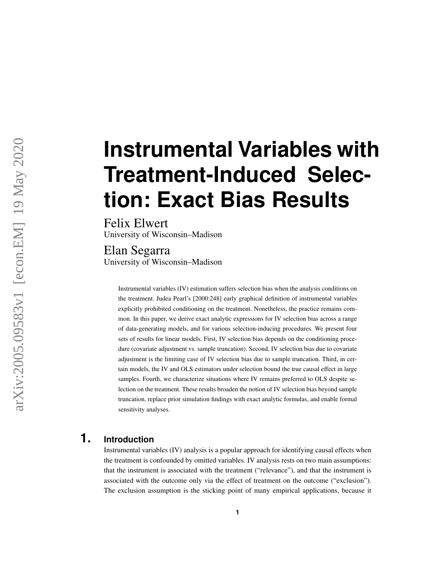# **Instrumental Variables with Treatment-Induced Selection: Exact Bias Results**

Felix Elwert University of Wisconsin–Madison

Elan Segarra University of Wisconsin–Madison

> Instrumental variables (IV) estimation suffers selection bias when the analysis conditions on the treatment. Judea Pearl's [2000:248] early graphical definition of instrumental variables explicitly prohibited conditioning on the treatment. Nonetheless, the practice remains common. In this paper, we derive exact analytic expressions for IV selection bias across a range of data-generating models, and for various selection-inducing procedures. We present four sets of results for linear models. First, IV selection bias depends on the conditioning procedure (covariate adjustment vs. sample truncation). Second, IV selection bias due to covariate adjustment is the limiting case of IV selection bias due to sample truncation. Third, in certain models, the IV and OLS estimators under selection bound the true causal effect in large samples. Fourth, we characterize situations where IV remains preferred to OLS despite selection on the treatment. These results broaden the notion of IV selection bias beyond sample truncation, replace prior simulation findings with exact analytic formulas, and enable formal sensitivity analyses.

## **1. Introduction**

Instrumental variables (IV) analysis is a popular approach for identifying causal effects when the treatment is confounded by omitted variables. IV analysis rests on two main assumptions: that the instrument is associated with the treatment ("relevance"), and that the instrument is associated with the outcome only via the effect of treatment on the outcome ("exclusion"). The exclusion assumption is the sticking point of many empirical applications, because it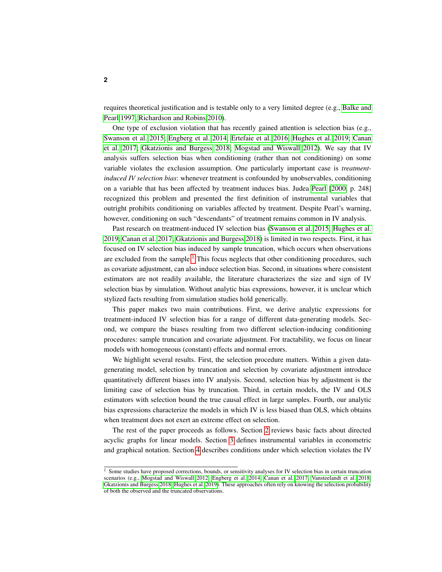requires theoretical justification and is testable only to a very limited degree (e.g., [Balke and](#page-14-0) [Pearl 1997;](#page-14-0) [Richardson and Robins 2010\)](#page-14-1).

One type of exclusion violation that has recently gained attention is selection bias (e.g., [Swanson et al. 2015;](#page-14-2) [Engberg et al. 2014;](#page-14-3) [Ertefaie et al. 2016;](#page-14-4) [Hughes et al. 2019;](#page-14-5) [Canan](#page-14-6) [et al. 2017;](#page-14-6) [Gkatzionis and Burgess 2018;](#page-14-7) [Mogstad and Wiswall 2012\)](#page-14-8). We say that IV analysis suffers selection bias when conditioning (rather than not conditioning) on some variable violates the exclusion assumption. One particularly important case is *treatmentinduced IV selection bias*: whenever treatment is confounded by unobservables, conditioning on a variable that has been affected by treatment induces bias. Judea [Pearl](#page-14-9) [\[2000,](#page-14-9) p. 248] recognized this problem and presented the first definition of instrumental variables that outright prohibits conditioning on variables affected by treatment. Despite Pearl's warning, however, conditioning on such "descendants" of treatment remains common in IV analysis.

Past research on treatment-induced IV selection bias [\(Swanson et al. 2015;](#page-14-2) [Hughes et al.](#page-14-5) [2019;](#page-14-5) [Canan et al. 2017;](#page-14-6) [Gkatzionis and Burgess 2018\)](#page-14-7) is limited in two respects. First, it has focused on IV selection bias induced by sample truncation, which occurs when observations are excluded from the sample.<sup>[1](#page-1-0)</sup> This focus neglects that other conditioning procedures, such as covariate adjustment, can also induce selection bias. Second, in situations where consistent estimators are not readily available, the literature characterizes the size and sign of IV selection bias by simulation. Without analytic bias expressions, however, it is unclear which stylized facts resulting from simulation studies hold generically.

This paper makes two main contributions. First, we derive analytic expressions for treatment-induced IV selection bias for a range of different data-generating models. Second, we compare the biases resulting from two different selection-inducing conditioning procedures: sample truncation and covariate adjustment. For tractability, we focus on linear models with homogeneous (constant) effects and normal errors.

We highlight several results. First, the selection procedure matters. Within a given datagenerating model, selection by truncation and selection by covariate adjustment introduce quantitatively different biases into IV analysis. Second, selection bias by adjustment is the limiting case of selection bias by truncation. Third, in certain models, the IV and OLS estimators with selection bound the true causal effect in large samples. Fourth, our analytic bias expressions characterize the models in which IV is less biased than OLS, which obtains when treatment does not exert an extreme effect on selection.

The rest of the paper proceeds as follows. Section [2](#page-2-0) reviews basic facts about directed acyclic graphs for linear models. Section [3](#page-3-0) defines instrumental variables in econometric and graphical notation. Section [4](#page-4-0) describes conditions under which selection violates the IV

<span id="page-1-0"></span><sup>&</sup>lt;sup>1</sup> Some studies have proposed corrections, bounds, or sensitivity analyses for IV selection bias in certain truncation scenarios (e.g., [Mogstad and Wiswall 2012;](#page-14-8) [Engberg et al. 2014;](#page-14-3) [Canan et al. 2017;](#page-14-6) [Vansteelandt et al. 2018;](#page-15-0) [Gkatzionis and Burgess 2018;](#page-14-7) [Hughes et al. 2019\)](#page-14-5). These approaches often rely on knowing the selection probability of both the observed and the truncated observations.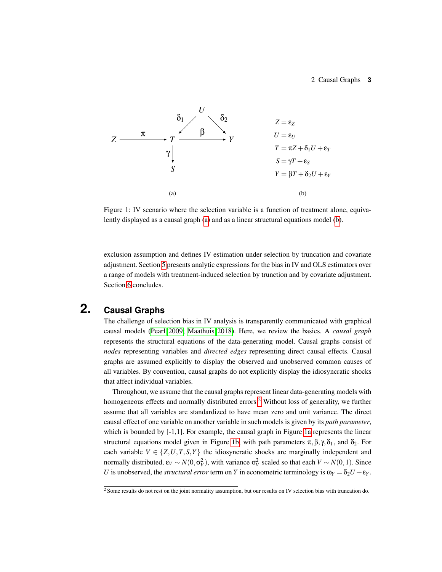#### 2 Causal Graphs **3**

<span id="page-2-1"></span>

Figure 1: IV scenario where the selection variable is a function of treatment alone, equivalently displayed as a causal graph [\(a\)](#page-2-1) and as a linear structural equations model [\(b\)](#page-2-1).

exclusion assumption and defines IV estimation under selection by truncation and covariate adjustment. Section [5](#page-5-0) presents analytic expressions for the bias in IV and OLS estimators over a range of models with treatment-induced selection by trunction and by covariate adjustment. Section [6](#page-12-0) concludes.

# **2. Causal Graphs**

<span id="page-2-0"></span>The challenge of selection bias in IV analysis is transparently communicated with graphical causal models [\(Pearl 2009;](#page-14-10) [Maathuis 2018\)](#page-14-11). Here, we review the basics. A *causal graph* represents the structural equations of the data-generating model. Causal graphs consist of *nodes* representing variables and *directed edges* representing direct causal effects. Causal graphs are assumed explicitly to display the observed and unobserved common causes of all variables. By convention, causal graphs do not explicitly display the idiosyncratic shocks that affect individual variables.

Throughout, we assume that the causal graphs represent linear data-generating models with homogeneous effects and normally distributed errors.<sup>[2](#page-2-2)</sup> Without loss of generality, we further assume that all variables are standardized to have mean zero and unit variance. The direct causal effect of one variable on another variable in such models is given by its *path parameter*, which is bounded by  $[-1,1]$ . For example, the causal graph in Figure [1a](#page-2-1) represents the linear structural equations model given in Figure [1b,](#page-2-1) with path parameters  $\pi, \beta, \gamma, \delta_1$ , and  $\delta_2$ . For each variable  $V \in \{Z, U, T, S, Y\}$  the idiosyncratic shocks are marginally independent and normally distributed,  $\varepsilon_V \sim N(0, \sigma_V^2)$ , with variance  $\sigma_V^2$  scaled so that each  $V \sim N(0, 1)$ . Since *U* is unobserved, the *structural error* term on *Y* in econometric terminology is  $\omega_Y = \delta_2 U + \epsilon_Y$ .

<span id="page-2-2"></span> $2$  Some results do not rest on the joint normality assumption, but our results on IV selection bias with truncation do.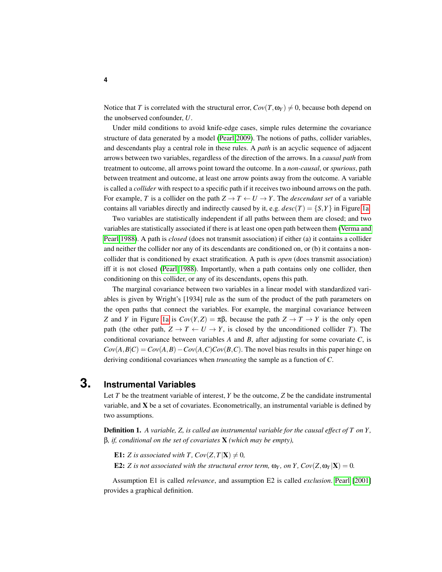Notice that *T* is correlated with the structural error,  $Cov(T, \omega_Y) \neq 0$ , because both depend on the unobserved confounder, *U*.

Under mild conditions to avoid knife-edge cases, simple rules determine the covariance structure of data generated by a model [\(Pearl 2009\)](#page-14-10). The notions of paths, collider variables, and descendants play a central role in these rules. A *path* is an acyclic sequence of adjacent arrows between two variables, regardless of the direction of the arrows. In a *causal path* from treatment to outcome, all arrows point toward the outcome. In a *non-causal*, or *spurious*, path between treatment and outcome, at least one arrow points away from the outcome. A variable is called a *collider* with respect to a specific path if it receives two inbound arrows on the path. For example, *T* is a collider on the path  $Z \to T \leftarrow U \to Y$ . The *descendant set* of a variable contains all variables directly and indirectly caused by it, e.g.  $desc(T) = {S, Y}$  in Figure [1a.](#page-2-1)

Two variables are statistically independent if all paths between them are closed; and two variables are statistically associated if there is at least one open path between them [\(Verma and](#page-15-1) [Pearl 1988\)](#page-15-1). A path is *closed* (does not transmit association) if either (a) it contains a collider and neither the collider nor any of its descendants are conditioned on, or (b) it contains a noncollider that is conditioned by exact stratification. A path is *open* (does transmit association) iff it is not closed [\(Pearl 1988\)](#page-14-12). Importantly, when a path contains only one collider, then conditioning on this collider, or any of its descendants, opens this path.

The marginal covariance between two variables in a linear model with standardized variables is given by Wright's [1934] rule as the sum of the product of the path parameters on the open paths that connect the variables. For example, the marginal covariance between *Z* and *Y* in Figure [1a](#page-2-1) is  $Cov(Y,Z) = \pi \beta$ , because the path  $Z \to T \to Y$  is the only open path (the other path,  $Z \to T \leftarrow U \to Y$ , is closed by the unconditioned collider *T*). The conditional covariance between variables *A* and *B*, after adjusting for some covariate *C*, is  $Cov(A, B|C) = Cov(A, B) - Cov(A, C)Cov(B, C)$ . The novel bias results in this paper hinge on deriving conditional covariances when *truncating* the sample as a function of *C*.

### **3. Instrumental Variables**

<span id="page-3-0"></span>Let *T* be the treatment variable of interest, *Y* be the outcome, *Z* be the candidate instrumental variable, and X be a set of covariates. Econometrically, an instrumental variable is defined by two assumptions.

Definition 1. *A variable, Z, is called an instrumental variable for the causal effect of T on Y ,* β*, if, conditional on the set of covariates* X *(which may be empty),*

**E1:** *Z* is associated with *T*,  $Cov(Z, T | \mathbf{X}) \neq 0$ ,

**E2:** *Z* is not associated with the structural error term,  $\omega_Y$ , on Y,  $Cov(Z, \omega_Y | X) = 0$ .

Assumption E1 is called *relevance*, and assumption E2 is called *exclusion*. [Pearl](#page-14-13) [\[2001\]](#page-14-13) provides a graphical definition.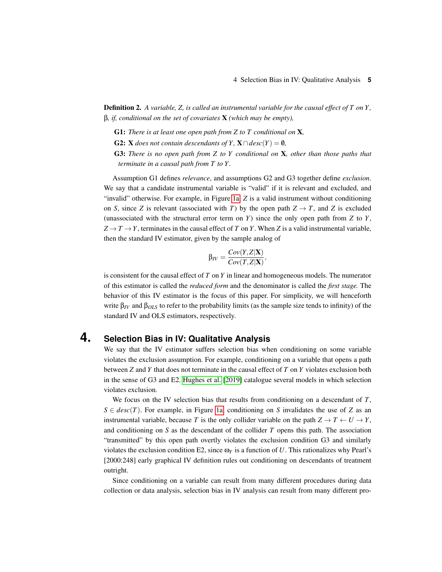Definition 2. *A variable, Z, is called an instrumental variable for the causal effect of T on Y ,* β*, if, conditional on the set of covariates* X *(which may be empty),*

- G1: *There is at least one open path from Z to T conditional on* X*,*
- **G2:** X *does not contain descendants of Y*,  $X \cap desc(Y) = \emptyset$ *,*
- G3: *There is no open path from Z to Y conditional on* X*, other than those paths that terminate in a causal path from T to Y .*

Assumption G1 defines *relevance*, and assumptions G2 and G3 together define *exclusion*. We say that a candidate instrumental variable is "valid" if it is relevant and excluded, and "invalid" otherwise. For example, in Figure [1a,](#page-2-1) *Z* is a valid instrument without conditioning on *S*, since *Z* is relevant (associated with *T*) by the open path  $Z \rightarrow T$ , and *Z* is excluded (unassociated with the structural error term on *Y*) since the only open path from *Z* to *Y*,  $Z \rightarrow T \rightarrow Y$ , terminates in the causal effect of *T* on *Y*. When *Z* is a valid instrumental variable, then the standard IV estimator, given by the sample analog of

$$
\beta_{IV} = \frac{Cov(Y,Z|\mathbf{X})}{Cov(T,Z|\mathbf{X})},
$$

is consistent for the causal effect of *T* on *Y* in linear and homogeneous models. The numerator of this estimator is called the *reduced form* and the denominator is called the *first stage.* The behavior of this IV estimator is the focus of this paper. For simplicity, we will henceforth write β*IV* and β*OLS* to refer to the probability limits (as the sample size tends to infinity) of the standard IV and OLS estimators, respectively.

### **4. Selection Bias in IV: Qualitative Analysis**

<span id="page-4-0"></span>We say that the IV estimator suffers selection bias when conditioning on some variable violates the exclusion assumption. For example, conditioning on a variable that opens a path between *Z* and *Y* that does not terminate in the causal effect of *T* on *Y* violates exclusion both in the sense of G3 and E2. [Hughes et al.](#page-14-5) [\[2019\]](#page-14-5) catalogue several models in which selection violates exclusion.

We focus on the IV selection bias that results from conditioning on a descendant of *T*,  $S \in desc(T)$ . For example, in Figure [1a,](#page-2-1) conditioning on *S* invalidates the use of *Z* as an instrumental variable, because *T* is the only collider variable on the path  $Z \to T \leftarrow U \to Y$ , and conditioning on *S* as the descendant of the collider *T* opens this path. The association "transmitted" by this open path overtly violates the exclusion condition G3 and similarly violates the exclusion condition E2, since  $\omega_Y$  is a function of U. This rationalizes why Pearl's [2000:248] early graphical IV definition rules out conditioning on descendants of treatment outright.

Since conditioning on a variable can result from many different procedures during data collection or data analysis, selection bias in IV analysis can result from many different pro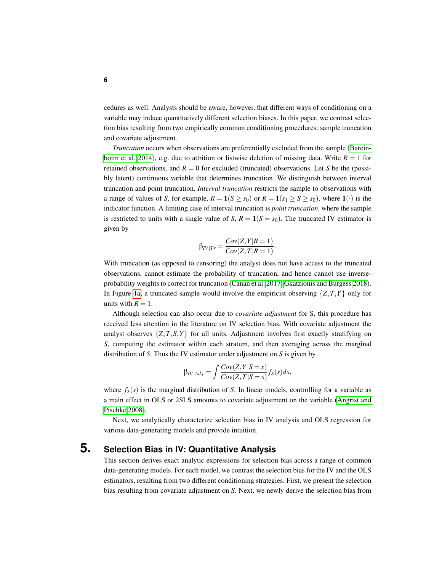cedures as well. Analysts should be aware, however, that different ways of conditioning on a variable may induce quantitatively different selection biases. In this paper, we contrast selection bias resulting from two empirically common conditioning procedures: sample truncation and covariate adjustment.

*Truncation* occurs when observations are preferentially excluded from the sample [\(Barein](#page-14-14)[boim et al. 2014\)](#page-14-14), e.g. due to attrition or listwise deletion of missing data. Write  $R = 1$  for retained observations, and  $R = 0$  for excluded (truncated) observations. Let *S* be the (possibly latent) continuous variable that determines truncation. We distinguish between interval truncation and point truncation. *Interval truncation* restricts the sample to observations with a range of values of *S*, for example,  $R = 1(S \ge s_0)$  or  $R = 1(s_1 \ge S \ge s_0)$ , where  $1(\cdot)$  is the indicator function. A limiting case of interval truncation is *point truncation*, where the sample is restricted to units with a single value of *S*,  $R = 1(S = s_0)$ . The truncated IV estimator is given by

$$
\beta_{IV|Tr} = \frac{Cov(Z, Y|R=1)}{Cov(Z, T|R=1)}.
$$

With truncation (as opposed to censoring) the analyst does not have access to the truncated observations, cannot estimate the probability of truncation, and hence cannot use inverseprobability weights to correct for truncation [\(Canan et al. 2017;](#page-14-6) [Gkatzionis and Burgess 2018\)](#page-14-7). In Figure [1a,](#page-2-1) a truncated sample would involve the empiricist observing  $\{Z, T, Y\}$  only for units with  $R = 1$ .

Although selection can also occur due to *covariate adjustment* for S, this procedure has received less attention in the literature on IV selection bias. With covariate adjustment the analyst observes  $\{Z, T, S, Y\}$  for all units. Adjustment involves first exactly stratifying on *S*, computing the estimator within each stratum, and then averaging across the marginal distribution of *S*. Thus the IV estimator under adjustment on *S* is given by

$$
\beta_{IV|Adj} = \int \frac{Cov(Z, Y|S=s)}{Cov(Z, T|S=s)} f_S(s) ds,
$$

where  $f_S(s)$  is the marginal distribution of *S*. In linear models, controlling for a variable as a main effect in OLS or 2SLS amounts to covariate adjustment on the variable [\(Angrist and](#page-14-15) [Pischke 2008\)](#page-14-15).

Next, we analytically characterize selection bias in IV analysis and OLS regression for various data-generating models and provide intuition.

# **5. Selection Bias in IV: Quantitative Analysis**

<span id="page-5-0"></span>This section derives exact analytic expressions for selection bias across a range of common data-generating models. For each model, we contrast the selection bias for the IV and the OLS estimators, resulting from two different conditioning strategies. First, we present the selection bias resulting from covariate adjustment on *S*. Next, we newly derive the selection bias from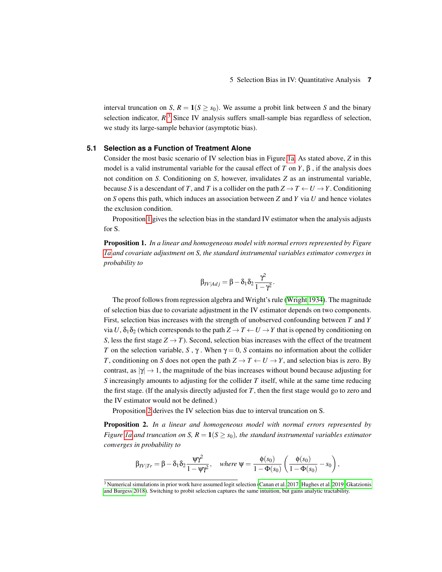interval truncation on *S*,  $R = 1(S \ge s_0)$ . We assume a probit link between *S* and the binary selection indicator,  $R$ <sup>[3](#page-6-0)</sup> Since IV analysis suffers small-sample bias regardless of selection, we study its large-sample behavior (asymptotic bias).

#### **5.1 Selection as a Function of Treatment Alone**

Consider the most basic scenario of IV selection bias in Figure [1a.](#page-2-1) As stated above, *Z* in this model is a valid instrumental variable for the causal effect of *T* on *Y*,  $\beta$ , if the analysis does not condition on *S*. Conditioning on *S*, however, invalidates *Z* as an instrumental variable, because *S* is a descendant of *T*, and *T* is a collider on the path  $Z \to T \leftarrow U \to Y$ . Conditioning on *S* opens this path, which induces an association between *Z* and *Y* via *U* and hence violates the exclusion condition.

Proposition [1](#page-6-1) gives the selection bias in the standard IV estimator when the analysis adjusts for S.

<span id="page-6-1"></span>Proposition 1. *In a linear and homogeneous model with normal errors represented by Figure [1a](#page-2-1) and covariate adjustment on S, the standard instrumental variables estimator converges in probability to*

$$
\beta_{IV|Adj} = \beta - \delta_1 \delta_2 \frac{\gamma^2}{1 - \gamma^2}.
$$

The proof follows from regression algebra and Wright's rule [\(Wright 1934\)](#page-15-2). The magnitude of selection bias due to covariate adjustment in the IV estimator depends on two components. First, selection bias increases with the strength of unobserved confounding between *T* and *Y* via *U*,  $\delta_1 \delta_2$  (which corresponds to the path  $Z \to T \leftarrow U \to Y$  that is opened by conditioning on *S*, less the first stage  $Z \rightarrow T$ ). Second, selection bias increases with the effect of the treatment *T* on the selection variable, *S*,  $\gamma$ . When  $\gamma = 0$ , *S* contains no information about the collider *T*, conditioning on *S* does not open the path  $Z \to T \leftarrow U \to Y$ , and selection bias is zero. By contrast, as  $|\gamma| \to 1$ , the magnitude of the bias increases without bound because adjusting for *S* increasingly amounts to adjusting for the collider *T* itself, while at the same time reducing the first stage. (If the analysis directly adjusted for *T*, then the first stage would go to zero and the IV estimator would not be defined.)

Proposition [2](#page-6-2) derives the IV selection bias due to interval truncation on S.

<span id="page-6-2"></span>Proposition 2. *In a linear and homogeneous model with normal errors represented by Figure* [1a](#page-2-1) and truncation on S,  $R = 1(S \ge s_0)$ , the standard instrumental variables estimator *converges in probability to*

$$
\beta_{IV|Tr} = \beta - \delta_1 \delta_2 \frac{\psi \gamma^2}{1 - \psi \gamma^2}, \quad \text{where } \psi = \frac{\phi(s_0)}{1 - \Phi(s_0)} \left( \frac{\phi(s_0)}{1 - \Phi(s_0)} - s_0 \right),
$$

<span id="page-6-0"></span> $3$  Numerical simulations in prior work have assumed logit selection [\(Canan et al. 2017;](#page-14-6) [Hughes et al. 2019;](#page-14-5) [Gkatzionis](#page-14-7) [and Burgess 2018\)](#page-14-7). Switching to probit selection captures the same intuition, but gains analytic tractability.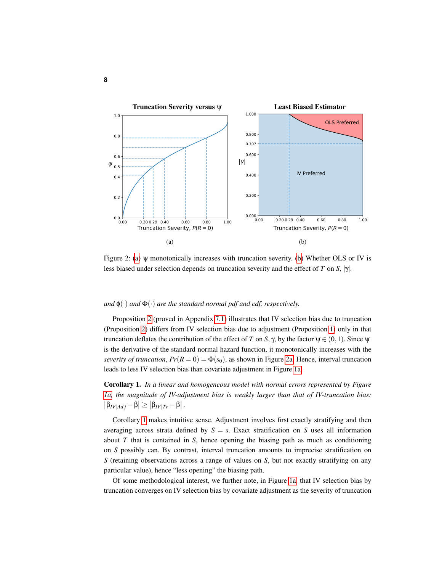<span id="page-7-0"></span>

Figure 2: [\(a\)](#page-7-0) ψ monotonically increases with truncation severity. [\(b\)](#page-7-0) Whether OLS or IV is less biased under selection depends on truncation severity and the effect of *T* on *S*, |γ|.

#### *and*  $\phi(\cdot)$  *and*  $\Phi(\cdot)$  *are the standard normal pdf and cdf, respectively.*

Proposition [2](#page-6-2) (proved in Appendix [7.1\)](#page-15-3) illustrates that IV selection bias due to truncation (Proposition [2\)](#page-6-2) differs from IV selection bias due to adjustment (Proposition [1\)](#page-6-1) only in that truncation deflates the contribution of the effect of *T* on *S*, γ, by the factor  $\psi \in (0,1)$ . Since  $\psi$ is the derivative of the standard normal hazard function, it monotonically increases with the *severity of truncation*,  $Pr(R = 0) = \Phi(s_0)$ , as shown in Figure [2a.](#page-7-0) Hence, interval truncation leads to less IV selection bias than covariate adjustment in Figure [1a,](#page-2-1)

<span id="page-7-1"></span>Corollary 1. *In a linear and homogeneous model with normal errors represented by Figure [1a,](#page-2-1) the magnitude of IV-adjustment bias is weakly larger than that of IV-truncation bias:*  $\left|\beta_{IV|Adj}-\beta\right|\geq \left|\beta_{IV|Tr}-\beta\right|.$ 

Corollary [1](#page-7-1) makes intuitive sense. Adjustment involves first exactly stratifying and then averaging across strata defined by  $S = s$ . Exact stratification on *S* uses all information about *T* that is contained in *S*, hence opening the biasing path as much as conditioning on *S* possibly can. By contrast, interval truncation amounts to imprecise stratification on *S* (retaining observations across a range of values on *S*, but not exactly stratifying on any particular value), hence "less opening" the biasing path.

Of some methodological interest, we further note, in Figure [1a,](#page-2-1) that IV selection bias by truncation converges on IV selection bias by covariate adjustment as the severity of truncation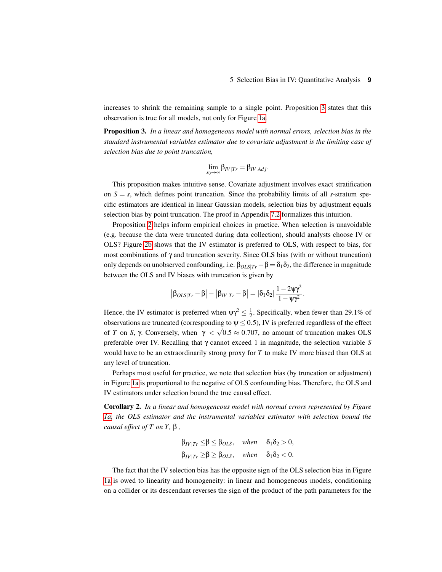increases to shrink the remaining sample to a single point. Proposition [3](#page-8-0) states that this observation is true for all models, not only for Figure [1a.](#page-2-1)

<span id="page-8-0"></span>Proposition 3. *In a linear and homogeneous model with normal errors, selection bias in the standard instrumental variables estimator due to covariate adjustment is the limiting case of selection bias due to point truncation,*

$$
\lim_{s_0\to\infty}\beta_{IV|Tr}=\beta_{IV|Adj}.
$$

This proposition makes intuitive sense. Covariate adjustment involves exact stratification on  $S = s$ , which defines point truncation. Since the probability limits of all *s*-stratum specific estimators are identical in linear Gaussian models, selection bias by adjustment equals selection bias by point truncation. The proof in Appendix [7.2](#page-16-0) formalizes this intuition.

Proposition [2](#page-6-2) helps inform empirical choices in practice. When selection is unavoidable (e.g. because the data were truncated during data collection), should analysts choose IV or OLS? Figure [2b](#page-7-0) shows that the IV estimator is preferred to OLS, with respect to bias, for most combinations of γ and truncation severity. Since OLS bias (with or without truncation) only depends on unobserved confounding, i.e.  $\beta_{OLS|T_r} - \beta = \delta_1 \delta_2$ , the difference in magnitude between the OLS and IV biases with truncation is given by

$$
\big|\beta_{\text{OLS}| \text{Tr}} - \beta\big| - \big|\beta_{\text{IV}|\text{Tr}} - \beta\big| = |\delta_1 \delta_2| \, \frac{1 - 2 \psi \gamma^2}{1 - \psi \gamma^2}.
$$

Hence, the IV estimator is preferred when  $\psi \gamma^2 \leq \frac{1}{2}$ . Specifically, when fewer than 29.1% of observations are truncated (corresponding to  $\psi \leq 0.5$ ), IV is preferred regardless of the effect of *T* on *S*, γ. Conversely, when  $|\gamma| < \sqrt{0.5} \approx 0.707$ , no amount of truncation makes OLS preferable over IV. Recalling that γ cannot exceed 1 in magnitude, the selection variable *S* would have to be an extraordinarily strong proxy for *T* to make IV more biased than OLS at any level of truncation.

Perhaps most useful for practice, we note that selection bias (by truncation or adjustment) in Figure [1a](#page-2-1) is proportional to the negative of OLS confounding bias. Therefore, the OLS and IV estimators under selection bound the true causal effect.

Corollary 2. *In a linear and homogeneous model with normal errors represented by Figure [1a,](#page-2-1) the OLS estimator and the instrumental variables estimator with selection bound the causal effect of T on Y ,* β *,*

$$
\begin{aligned}\n\beta_{IV|Tr} \leq & \beta \leq \beta_{OLS}, \quad when \quad \delta_1 \delta_2 > 0, \\
\beta_{IV|Tr} \geq & \beta \geq \beta_{OLS}, \quad when \quad \delta_1 \delta_2 < 0.\n\end{aligned}
$$

The fact that the IV selection bias has the opposite sign of the OLS selection bias in Figure [1a](#page-2-1) is owed to linearity and homogeneity: in linear and homogeneous models, conditioning on a collider or its descendant reverses the sign of the product of the path parameters for the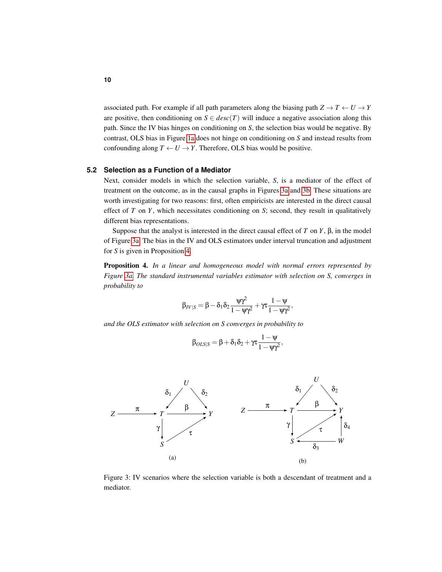associated path. For example if all path parameters along the biasing path  $Z \to T \leftarrow U \to Y$ are positive, then conditioning on  $S \in desc(T)$  will induce a negative association along this path. Since the IV bias hinges on conditioning on *S*, the selection bias would be negative. By contrast, OLS bias in Figure [1a](#page-2-1) does not hinge on conditioning on *S* and instead results from confounding along  $T \leftarrow U \rightarrow Y$ . Therefore, OLS bias would be positive.

#### **5.2 Selection as a Function of a Mediator**

Next, consider models in which the selection variable, *S*, is a mediator of the effect of treatment on the outcome, as in the causal graphs in Figures [3a](#page-9-0) and [3b.](#page-9-0) These situations are worth investigating for two reasons: first, often empiricists are interested in the direct causal effect of *T* on *Y*, which necessitates conditioning on *S*; second, they result in qualitatively different bias representations.

Suppose that the analyst is interested in the direct causal effect of  $T$  on  $Y$ ,  $\beta$ , in the model of Figure [3a.](#page-9-0) The bias in the IV and OLS estimators under interval truncation and adjustment for *S* is given in Proposition [4.](#page-9-1)

<span id="page-9-1"></span>Proposition 4. *In a linear and homogeneous model with normal errors represented by Figure [3a.](#page-9-0) The standard instrumental variables estimator with selection on S, converges in probability to*

$$
\beta_{\varGamma\vee|S}=\beta-\delta_1\delta_2\frac{\psi\gamma^2}{1-\psi\gamma^2}+\gamma\tau\frac{1-\psi}{1-\psi\gamma^2},
$$

*and the OLS estimator with selection on S converges in probability to*

$$
\beta_{\textit{OLS}|S} = \beta + \delta_1 \delta_2 + \gamma \tau \frac{1-\psi}{1-\psi \gamma^2},
$$

<span id="page-9-0"></span>

Figure 3: IV scenarios where the selection variable is both a descendant of treatment and a mediator.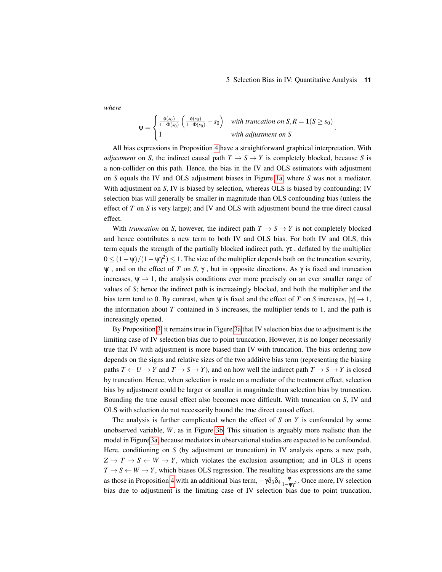#### 5 Selection Bias in IV: Quantitative Analysis **11**

.

*where*

$$
\psi = \begin{cases} \frac{\phi(s_0)}{1 - \Phi(s_0)} \left( \frac{\phi(s_0)}{1 - \Phi(s_0)} - s_0 \right) & \text{with truncation on } S, R = \mathbf{1}(S \ge s_0) \\ 1 & \text{with adjustment on } S \end{cases}
$$

All bias expressions in Proposition [4](#page-9-1) have a straightforward graphical interpretation. With *adjustment* on *S*, the indirect causal path  $T \rightarrow S \rightarrow Y$  is completely blocked, because *S* is a non-collider on this path. Hence, the bias in the IV and OLS estimators with adjustment on *S* equals the IV and OLS adjustment biases in Figure [1a,](#page-2-1) where *S* was not a mediator. With adjustment on *S*, IV is biased by selection, whereas OLS is biased by confounding; IV selection bias will generally be smaller in magnitude than OLS confounding bias (unless the effect of *T* on *S* is very large); and IV and OLS with adjustment bound the true direct causal effect.

With *truncation* on *S*, however, the indirect path  $T \rightarrow S \rightarrow Y$  is not completely blocked and hence contributes a new term to both IV and OLS bias. For both IV and OLS, this term equals the strength of the partially blocked indirect path,  $\gamma \tau$ , deflated by the multiplier  $0 \leq (1 - \psi)/(1 - \psi \gamma^2) \leq 1$ . The size of the multiplier depends both on the truncation severity,  $\psi$ , and on the effect of *T* on *S*,  $\gamma$ , but in opposite directions. As  $\gamma$  is fixed and truncation increases,  $\Psi \rightarrow 1$ , the analysis conditions ever more precisely on an ever smaller range of values of *S*; hence the indirect path is increasingly blocked, and both the multiplier and the bias term tend to 0. By contrast, when  $\psi$  is fixed and the effect of *T* on *S* increases,  $|\gamma| \to 1$ , the information about *T* contained in *S* increases, the multiplier tends to 1, and the path is increasingly opened.

By Proposition [3,](#page-8-0) it remains true in Figure [3a](#page-9-0) that IV selection bias due to adjustment is the limiting case of IV selection bias due to point truncation. However, it is no longer necessarily true that IV with adjustment is more biased than IV with truncation. The bias ordering now depends on the signs and relative sizes of the two additive bias term (representing the biasing paths  $T \leftarrow U \rightarrow Y$  and  $T \rightarrow S \rightarrow Y$ ), and on how well the indirect path  $T \rightarrow S \rightarrow Y$  is closed by truncation. Hence, when selection is made on a mediator of the treatment effect, selection bias by adjustment could be larger or smaller in magnitude than selection bias by truncation. Bounding the true causal effect also becomes more difficult. With truncation on *S*, IV and OLS with selection do not necessarily bound the true direct causal effect.

The analysis is further complicated when the effect of *S* on *Y* is confounded by some unobserved variable, *W*, as in Figure [3b.](#page-9-0) This situation is arguably more realistic than the model in Figure [3a,](#page-9-0) because mediators in observational studies are expected to be confounded. Here, conditioning on *S* (by adjustment or truncation) in IV analysis opens a new path,  $Z \to T \to S \leftarrow W \to Y$ , which violates the exclusion assumption; and in OLS it opens  $T \rightarrow S \leftarrow W \rightarrow Y$ , which biases OLS regression. The resulting bias expressions are the same as those in Proposition [4](#page-9-1) with an additional bias term,  $-\gamma \delta_3 \delta_4 \frac{\Psi}{1-\Psi \gamma^2}$ . Once more, IV selection bias due to adjustment is the limiting case of IV selection bias due to point truncation.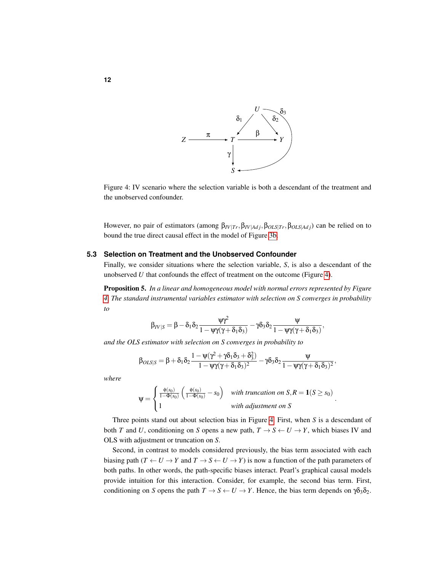<span id="page-11-0"></span>

Figure 4: IV scenario where the selection variable is both a descendant of the treatment and the unobserved confounder.

However, no pair of estimators (among β*IV*|*Tr*,β*IV*|*Ad j*,β*OLS*|*Tr*,β*OLS*|*Ad j*) can be relied on to bound the true direct causal effect in the model of Figure [3b.](#page-9-0)

#### **5.3 Selection on Treatment and the Unobserved Confounder**

Finally, we consider situations where the selection variable, *S*, is also a descendant of the unobserved *U* that confounds the effect of treatment on the outcome (Figure [4\)](#page-11-0).

<span id="page-11-1"></span>Proposition 5. *In a linear and homogeneous model with normal errors represented by Figure [4.](#page-11-0) The standard instrumental variables estimator with selection on S converges in probability to*

$$
\beta_{\mathit{IV}|\mathit{S}} = \beta - \delta_1\delta_2\frac{\psi\gamma^2}{1 - \psi\gamma(\gamma + \delta_1\delta_3)} - \gamma\delta_3\delta_2\frac{\psi}{1 - \psi\gamma(\gamma + \delta_1\delta_3)},
$$

*and the OLS estimator with selection on S converges in probability to*

$$
\beta_{OLS|S} = \beta + \delta_1 \delta_2 \frac{1 - \psi(\gamma^2 + \gamma \delta_1 \delta_3 + \delta_3^2)}{1 - \psi \gamma(\gamma + \delta_1 \delta_3)^2} - \gamma \delta_3 \delta_2 \frac{\psi}{1 - \psi \gamma(\gamma + \delta_1 \delta_3)^2},
$$

*where*

$$
\Psi = \begin{cases} \frac{\phi(s_0)}{1 - \Phi(s_0)} \left( \frac{\phi(s_0)}{1 - \Phi(s_0)} - s_0 \right) & \text{with truncation on } S, R = \mathbf{1}(S \ge s_0) \\ 1 & \text{with adjustment on } S \end{cases}
$$

.

Three points stand out about selection bias in Figure [4.](#page-11-0) First, when *S* is a descendant of both *T* and *U*, conditioning on *S* opens a new path,  $T \rightarrow S \leftarrow U \rightarrow Y$ , which biases IV and OLS with adjustment or truncation on *S*.

Second, in contrast to models considered previously, the bias term associated with each biasing path  $(T \leftarrow U \rightarrow Y$  and  $T \rightarrow S \leftarrow U \rightarrow Y)$  is now a function of the path parameters of both paths. In other words, the path-specific biases interact. Pearl's graphical causal models provide intuition for this interaction. Consider, for example, the second bias term. First, conditioning on *S* opens the path  $T \to S \leftarrow U \to Y$ . Hence, the bias term depends on  $\gamma \delta_3 \delta_2$ .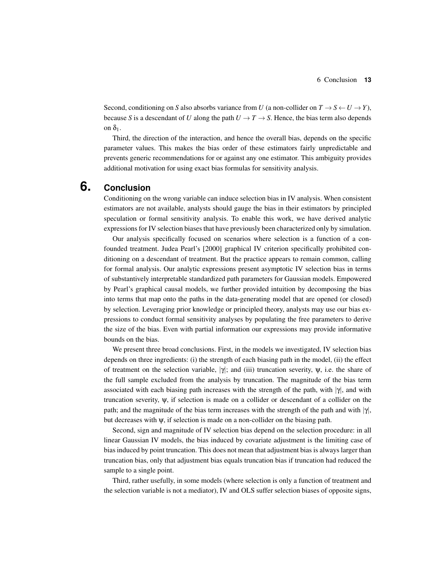Second, conditioning on *S* also absorbs variance from *U* (a non-collider on  $T \to S \leftarrow U \to Y$ ), because *S* is a descendant of *U* along the path  $U \rightarrow T \rightarrow S$ . Hence, the bias term also depends on  $\delta_1$ .

Third, the direction of the interaction, and hence the overall bias, depends on the specific parameter values. This makes the bias order of these estimators fairly unpredictable and prevents generic recommendations for or against any one estimator. This ambiguity provides additional motivation for using exact bias formulas for sensitivity analysis.

## **6. Conclusion**

<span id="page-12-0"></span>Conditioning on the wrong variable can induce selection bias in IV analysis. When consistent estimators are not available, analysts should gauge the bias in their estimators by principled speculation or formal sensitivity analysis. To enable this work, we have derived analytic expressions for IV selection biases that have previously been characterized only by simulation.

Our analysis specifically focused on scenarios where selection is a function of a confounded treatment. Judea Pearl's [2000] graphical IV criterion specifically prohibited conditioning on a descendant of treatment. But the practice appears to remain common, calling for formal analysis. Our analytic expressions present asymptotic IV selection bias in terms of substantively interpretable standardized path parameters for Gaussian models. Empowered by Pearl's graphical causal models, we further provided intuition by decomposing the bias into terms that map onto the paths in the data-generating model that are opened (or closed) by selection. Leveraging prior knowledge or principled theory, analysts may use our bias expressions to conduct formal sensitivity analyses by populating the free parameters to derive the size of the bias. Even with partial information our expressions may provide informative bounds on the bias.

We present three broad conclusions. First, in the models we investigated, IV selection bias depends on three ingredients: (i) the strength of each biasing path in the model, (ii) the effect of treatment on the selection variable,  $|\gamma|$ ; and (iii) truncation severity,  $\psi$ , i.e. the share of the full sample excluded from the analysis by truncation. The magnitude of the bias term associated with each biasing path increases with the strength of the path, with  $|\gamma|$ , and with truncation severity, ψ, if selection is made on a collider or descendant of a collider on the path; and the magnitude of the bias term increases with the strength of the path and with  $|\gamma|$ , but decreases with  $\psi$ , if selection is made on a non-collider on the biasing path.

Second, sign and magnitude of IV selection bias depend on the selection procedure: in all linear Gaussian IV models, the bias induced by covariate adjustment is the limiting case of bias induced by point truncation. This does not mean that adjustment bias is always larger than truncation bias, only that adjustment bias equals truncation bias if truncation had reduced the sample to a single point.

Third, rather usefully, in some models (where selection is only a function of treatment and the selection variable is not a mediator), IV and OLS suffer selection biases of opposite signs,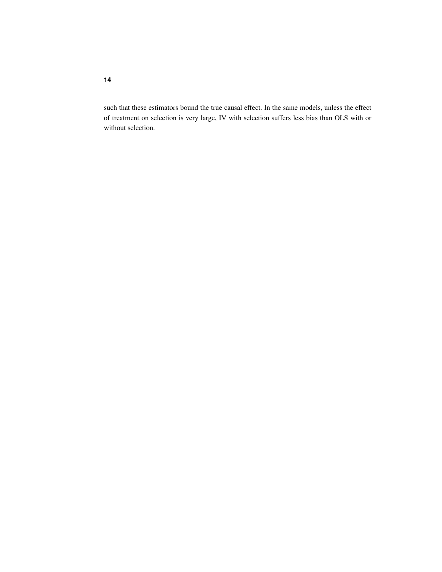such that these estimators bound the true causal effect. In the same models, unless the effect of treatment on selection is very large, IV with selection suffers less bias than OLS with or without selection.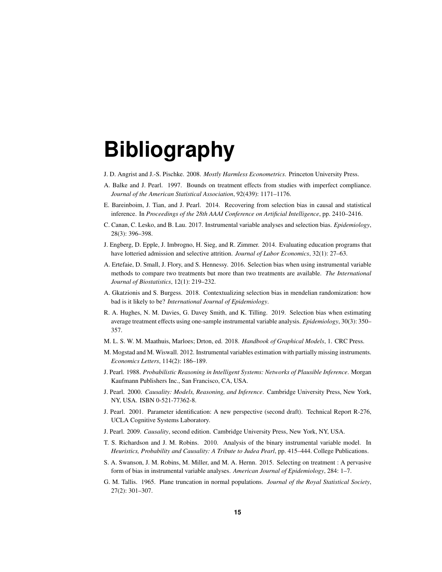# **Bibliography**

- <span id="page-14-15"></span>J. D. Angrist and J.-S. Pischke. 2008. *Mostly Harmless Econometrics*. Princeton University Press.
- <span id="page-14-0"></span>A. Balke and J. Pearl. 1997. Bounds on treatment effects from studies with imperfect compliance. *Journal of the American Statistical Association*, 92(439): 1171–1176.
- <span id="page-14-14"></span>E. Bareinboim, J. Tian, and J. Pearl. 2014. Recovering from selection bias in causal and statistical inference. In *Proceedings of the 28th AAAI Conference on Artificial Intelligence*, pp. 2410–2416.
- <span id="page-14-6"></span>C. Canan, C. Lesko, and B. Lau. 2017. Instrumental variable analyses and selection bias. *Epidemiology*, 28(3): 396–398.
- <span id="page-14-3"></span>J. Engberg, D. Epple, J. Imbrogno, H. Sieg, and R. Zimmer. 2014. Evaluating education programs that have lotteried admission and selective attrition. *Journal of Labor Economics*, 32(1): 27–63.
- <span id="page-14-4"></span>A. Ertefaie, D. Small, J. Flory, and S. Hennessy. 2016. Selection bias when using instrumental variable methods to compare two treatments but more than two treatments are available. *The International Journal of Biostatistics*, 12(1): 219–232.
- <span id="page-14-7"></span>A. Gkatzionis and S. Burgess. 2018. Contextualizing selection bias in mendelian randomization: how bad is it likely to be? *International Journal of Epidemiology*.
- <span id="page-14-5"></span>R. A. Hughes, N. M. Davies, G. Davey Smith, and K. Tilling. 2019. Selection bias when estimating average treatment effects using one-sample instrumental variable analysis. *Epidemiology*, 30(3): 350– 357.
- <span id="page-14-11"></span>M. L. S. W. M. Maathuis, Marloes; Drton, ed. 2018. *Handbook of Graphical Models*, 1. CRC Press.
- <span id="page-14-8"></span>M. Mogstad and M. Wiswall. 2012. Instrumental variables estimation with partially missing instruments. *Economics Letters*, 114(2): 186–189.
- <span id="page-14-12"></span>J. Pearl. 1988. *Probabilistic Reasoning in Intelligent Systems: Networks of Plausible Inference*. Morgan Kaufmann Publishers Inc., San Francisco, CA, USA.
- <span id="page-14-9"></span>J. Pearl. 2000. *Causality: Models, Reasoning, and Inference*. Cambridge University Press, New York, NY, USA. ISBN 0-521-77362-8.
- <span id="page-14-13"></span>J. Pearl. 2001. Parameter identification: A new perspective (second draft). Technical Report R-276, UCLA Cognitive Systems Laboratory.
- <span id="page-14-10"></span>J. Pearl. 2009. *Causality*, second edition. Cambridge University Press, New York, NY, USA.
- <span id="page-14-1"></span>T. S. Richardson and J. M. Robins. 2010. Analysis of the binary instrumental variable model. In *Heuristics, Probability and Causality: A Tribute to Judea Pearl*, pp. 415–444. College Publications.
- <span id="page-14-2"></span>S. A. Swanson, J. M. Robins, M. Miller, and M. A. Hernn. 2015. Selecting on treatment : A pervasive form of bias in instrumental variable analyses. *American Journal of Epidemiology*, 284: 1–7.
- <span id="page-14-16"></span>G. M. Tallis. 1965. Plane truncation in normal populations. *Journal of the Royal Statistical Society*, 27(2): 301–307.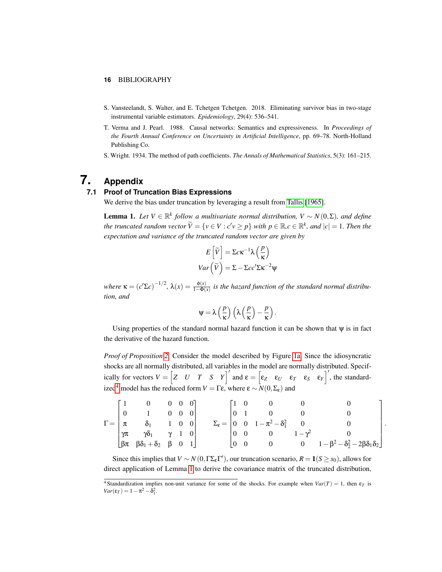#### **16** BIBLIOGRAPHY

- <span id="page-15-0"></span>S. Vansteelandt, S. Walter, and E. Tchetgen Tchetgen. 2018. Eliminating survivor bias in two-stage instrumental variable estimators. *Epidemiology*, 29(4): 536–541.
- <span id="page-15-1"></span>T. Verma and J. Pearl. 1988. Causal networks: Semantics and expressiveness. In *Proceedings of the Fourth Annual Conference on Uncertainty in Artificial Intelligence*, pp. 69–78. North-Holland Publishing Co.
- <span id="page-15-2"></span>S. Wright. 1934. The method of path coefficients. *The Annals of Mathematical Statistics*, 5(3): 161–215.

## **7. Appendix**

#### **7.1 Proof of Truncation Bias Expressions**

<span id="page-15-3"></span>We derive the bias under truncation by leveraging a result from [Tallis](#page-14-16) [\[1965\]](#page-14-16).

<span id="page-15-5"></span>**Lemma 1.** Let  $V \in \mathbb{R}^k$  follow a multivariate normal distribution,  $V \sim N(0,Σ)$ , and define *the truncated random vector*  $\widetilde{V} = \{v \in V : c'v \geq p\}$  *with*  $p \in \mathbb{R}$ ,  $c \in \mathbb{R}^k$ , and  $|c| = 1$ . Then the *expectation and variance of the truncated random vector are given by*

$$
E\left[\widetilde{V}\right] = \Sigma c \kappa^{-1} \lambda \left(\frac{p}{\kappa}\right)
$$

$$
Var\left(\widetilde{V}\right) = \Sigma - \Sigma c c' \Sigma \kappa^{-2} \psi
$$

*where*  $\kappa = (c'\Sigma c)^{-1/2}$ ,  $\lambda(x) = \frac{\phi(x)}{1-\Phi(x)}$  is the hazard function of the standard normal distribu*tion, and*

$$
\psi = \lambda \left(\frac{p}{\kappa}\right) \left(\lambda \left(\frac{p}{\kappa}\right) - \frac{p}{\kappa}\right).
$$

Using properties of the standard normal hazard function it can be shown that  $\psi$  is in fact the derivative of the hazard function.

*Proof of Proposition [2.](#page-6-2)* Consider the model described by Figure [1a.](#page-2-1) Since the idiosyncratic shocks are all normally distributed, all variables in the model are normally distributed. Specifically for vectors  $V = \begin{bmatrix} Z & U & T & S & Y \end{bmatrix}^T$  and  $\epsilon = \begin{bmatrix} \epsilon_Z & \epsilon_U & \epsilon_T & \epsilon_S & \epsilon_Y \end{bmatrix}^T$ , the standard-ized<sup>[4](#page-15-4)</sup> model has the reduced form  $V = \Gamma \varepsilon$ , where  $\varepsilon \sim N(0, \Sigma_{\varepsilon})$  and

$$
\Gamma = \begin{bmatrix} 1 & 0 & 0 & 0 & 0 \\ 0 & 1 & 0 & 0 & 0 \\ \pi & \delta_1 & 1 & 0 & 0 \\ \gamma \pi & \gamma \delta_1 & \gamma & 1 & 0 \\ \beta \pi & \beta \delta_1 + \delta_2 & \beta & 0 & 1 \end{bmatrix} \qquad \Sigma_{\epsilon} = \begin{bmatrix} 1 & 0 & 0 & 0 & 0 & 0 \\ 0 & 1 & 0 & 0 & 0 & 0 \\ 0 & 0 & 1 - \pi^2 - \delta_1^2 & 0 & 0 & 0 \\ 0 & 0 & 0 & 1 - \gamma^2 & 0 & 0 \\ 0 & 0 & 0 & 0 & 1 - \beta^2 - \delta_2^2 - 2\beta\delta_1\delta_2 \end{bmatrix}
$$

.

Since this implies that  $V \sim N(0, \Gamma \Sigma_{\epsilon} \Gamma')$ , our truncation scenario,  $R = 1(S \ge s_0)$ , allows for direct application of Lemma [1](#page-15-5) to derive the covariance matrix of the truncated distribution,

<span id="page-15-4"></span><sup>&</sup>lt;sup>4</sup> Standardization implies non-unit variance for some of the shocks. For example when  $Var(T) = 1$ , then  $\varepsilon_T$  is  $Var(\varepsilon_T) = 1 - \pi^2 - \delta_1^2$ .